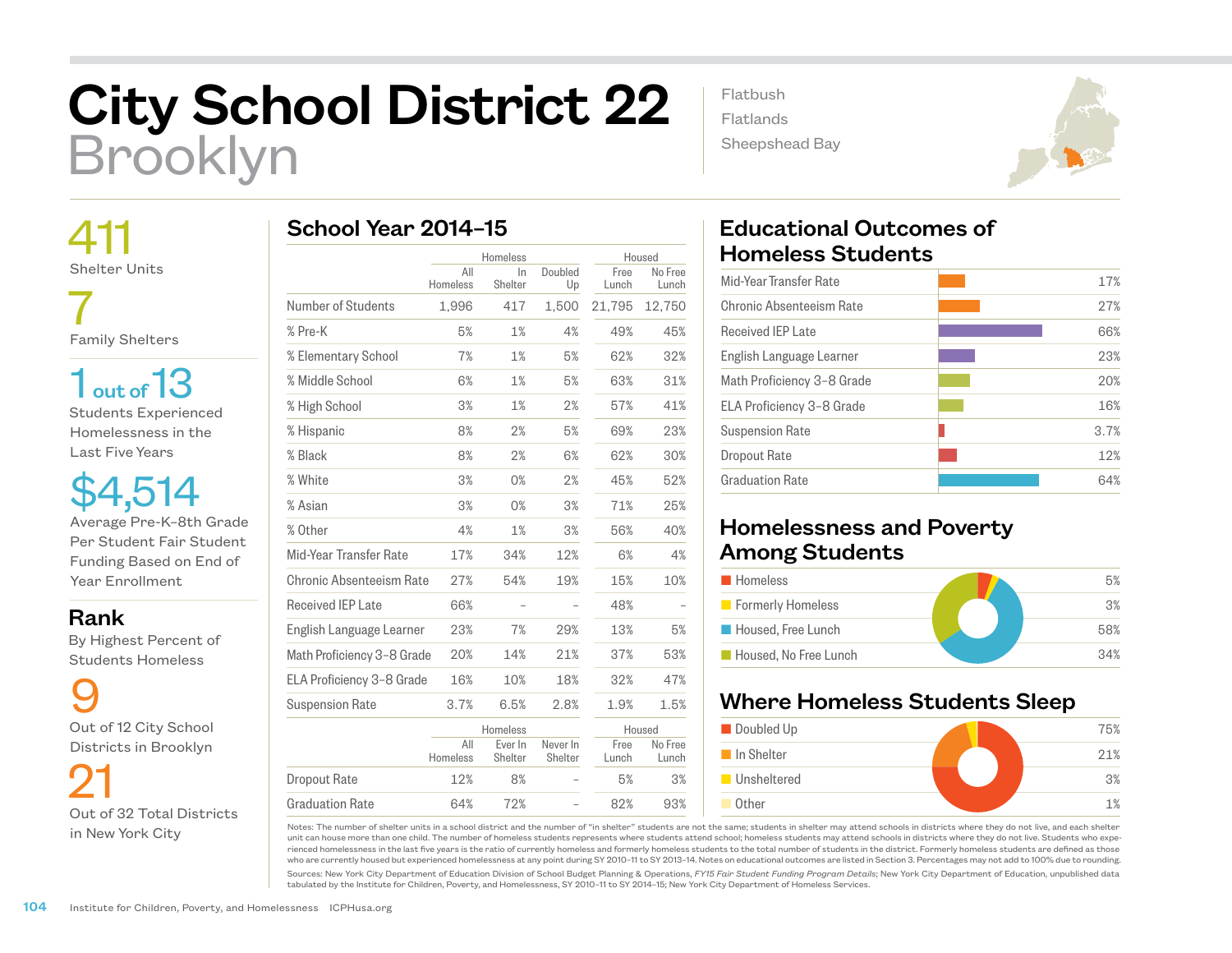## City School District 22 Brooklyn

 411 Shelter Units

 7 Family Shelters

1 out of 13 Students Experienced Homelessness in the Last Five Years

\$4,514 Average Pre-K–8th Grade Per Student Fair Student Funding Based on End of Year Enrollment

Rank

 By Highest Percent of Students Homeless

9 Out of 12 City School Districts in Brooklyn

 21 Out of 32 Total Districts in New York City

|                            |                 | Homeless           |                     | Housed        |                  |
|----------------------------|-----------------|--------------------|---------------------|---------------|------------------|
|                            | All<br>Homeless | In<br>Shelter      | Doubled<br>Up       | Free<br>Lunch | No Free<br>Lunch |
| Number of Students         | 1,996           | 417                | 1,500               | 21,795        | 12,750           |
| % Pre-K                    | 5%              | 1%                 | 4%                  | 49%           | 45%              |
| % Elementary School        | 7%              | 1%                 | 5%                  | 62%           | 32%              |
| % Middle School            | 6%              | 1%                 | 5%                  | 63%           | 31%              |
| % High School              | 3%              | 1%                 | 2%                  | 57%           | 41%              |
| % Hispanic                 | 8%              | 2%                 | 5%                  | 69%           | 23%              |
| % Black                    | 8%              | 2%                 | 6%                  | 62%           | 30%              |
| % White                    | 3%              | 0%                 | 2%                  | 45%           | 52%              |
| % Asian                    | 3%              | 0%                 | 3%                  | 71%           | 25%              |
| % Other                    | 4%              | 1%                 | 3%                  | 56%           | 40%              |
| Mid-Year Transfer Rate     | 17%             | 34%                | 12%                 | 6%            | 4%               |
| Chronic Absenteeism Rate   | 27%             | 54%                | 19%                 | 15%           | 10%              |
| Received IEP Late          | 66%             |                    |                     | 48%           |                  |
| English Language Learner   | 23%             | 7%                 | 29%                 | 13%           | 5%               |
| Math Proficiency 3-8 Grade | 20%             | 14%                | 21%                 | 37%           | 53%              |
| ELA Proficiency 3-8 Grade  | 16%             | 10%                | 18%                 | 32%           | 47%              |
| <b>Suspension Rate</b>     | 3.7%            | 6.5%               | 2.8%                | 1.9%          | 1.5%             |
|                            |                 | Homeless           |                     | Housed        |                  |
|                            | All<br>Homeless | Ever In<br>Shelter | Never In<br>Shelter | Free<br>Lunch | No Free<br>Lunch |
| <b>Dropout Rate</b>        | 12%             | 8%                 |                     | 5%            | 3%               |

64% 72% – 82% 93%

## Educational Outcomes of Homeless Students

Flatbush Flatlands

Sheepshead Bay

| Mid-Year Transfer Rate     | 17%  |
|----------------------------|------|
| Chronic Absenteeism Rate   | 27%  |
| <b>Received IEP Late</b>   | 66%  |
| English Language Learner   | 23%  |
| Math Proficiency 3-8 Grade | 20%  |
| ELA Proficiency 3-8 Grade  | 16%  |
| <b>Suspension Rate</b>     | 3.7% |
| Dropout Rate               | 12%  |
| <b>Graduation Rate</b>     | 64%  |
|                            |      |

## Homelessness and Poverty Among Students

| <b>Homeless</b>       | 5%  |
|-----------------------|-----|
| Formerly Homeless     | 3%  |
| Housed, Free Lunch    | 58% |
| Housed, No Free Lunch | 34% |

## Where Homeless Students Sleep



Notes: The number of shelter units in a school district and the number of "in shelter" students are not the same; students in shelter may attend schools in districts where they do not live, and each shelter unit can house more than one child. The number of homeless students represents where students attend school; homeless students may attend schools in districts where they do not live. Students who experienced homelessness in the last five years is the ratio of currently homeless and formerly homeless students to the total number of students in the district. Formerly homeless students are defined as those who are currently housed but experienced homelessness at any point during SY 2010–11 to SY 2013–14. Notes on educational outcomes are listed in Section 3. Percentages may not add to 100% due to rounding.

Sources: New York City Department of Education Division of School Budget Planning & Operations, *FY15 Fair Student Funding Program Details*; New York City Department of Education, unpublished data tabulated by the Institute for Children, Poverty, and Homelessness, SY 2010–11 to SY 2014–15; New York City Department of Homeless Services.

Graduation Rate